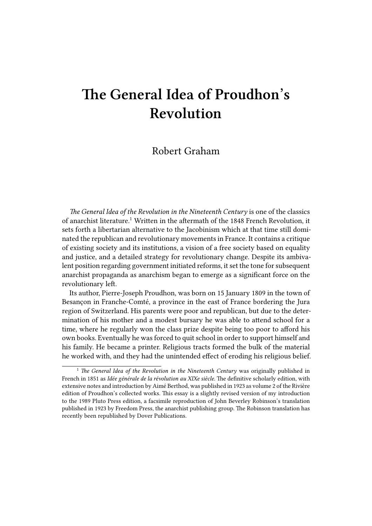## **The General Idea of Proudhon's Revolution**

## Robert Graham

*The General Idea of the Revolution in the Nineteenth Century* is one of the classics of anarchist literature.<sup>1</sup> Written in the aftermath of the 1848 French Revolution, it sets forth a libertarian alternative to the Jacobinism which at that time still dominated the republican and revolutionary movements in France. It contains a critique of existing society and its institutions, a vision of a free society based on equality and justice, and a detailed strategy for revolutionary change. Despite its ambivalent position regarding government initiated reforms, it set the tone for subsequent anarchist propaganda as anarchism began to emerge as a significant force on the revolutionary left.

Its author, Pierre-Joseph Proudhon, was born on 15 January 1809 in the town of Besançon in Franche-Comté, a province in the east of France bordering the Jura region of Switzerland. His parents were poor and republican, but due to the determination of his mother and a modest bursary he was able to attend school for a time, where he regularly won the class prize despite being too poor to afford his own books. Eventually he was forced to quit school in order to support himself and his family. He became a printer. Religious tracts formed the bulk of the material he worked with, and they had the unintended effect of eroding his religious belief.

<sup>&</sup>lt;sup>1</sup> The General Idea of the Revolution in the Nineteenth Century was originally published in French in 1851 as *Idée générale de la révolution au XIXe siècle*. The definitive scholarly edition, with extensive notes and introduction by Aimé Berthod, was published in 1923 as volume 2 of the Rivière edition of Proudhon's collected works. This essay is a slightly revised version of my introduction to the 1989 Pluto Press edition, a facsimile reproduction of John Beverley Robinson's translation published in 1923 by Freedom Press, the anarchist publishing group. The Robinson translation has recently been republished by Dover Publications.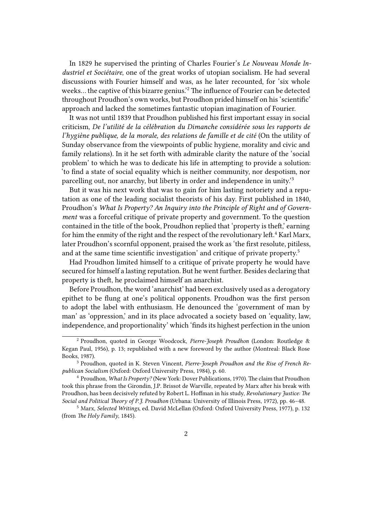In 1829 he supervised the printing of Charles Fourier's *Le Nouveau Monde Industriel et Sociétaire*, one of the great works of utopian socialism. He had several discussions with Fourier himself and was, as he later recounted, for 'six whole weeks… the captive of this bizarre genius.'<sup>2</sup> The influence of Fourier can be detected throughout Proudhon's own works, but Proudhon prided himself on his 'scientific' approach and lacked the sometimes fantastic utopian imagination of Fourier.

It was not until 1839 that Proudhon published his first important essay in social criticism, *De l'utilité de la célébration du Dimanche considérée sous les rapports de l'hygiène publique, de la morale, des relations de famille et de cité* (On the utility of Sunday observance from the viewpoints of public hygiene, morality and civic and family relations). In it he set forth with admirable clarity the nature of the 'social problem' to which he was to dedicate his life in attempting to provide a solution: 'to find a state of social equality which is neither community, nor despotism, nor parcelling out, nor anarchy, but liberty in order and independence in unity.'<sup>3</sup>

But it was his next work that was to gain for him lasting notoriety and a reputation as one of the leading socialist theorists of his day. First published in 1840, Proudhon's *What Is Property? An Inquiry into the Principle of Right and of Government* was a forceful critique of private property and government. To the question contained in the title of the book, Proudhon replied that 'property is theft,' earning for him the enmity of the right and the respect of the revolutionary left.<sup>4</sup> Karl Marx, later Proudhon's scornful opponent, praised the work as 'the first resolute, pitiless, and at the same time scientific investigation' and critique of private property.<sup>5</sup>

Had Proudhon limited himself to a critique of private property he would have secured for himself a lasting reputation. But he went further. Besides declaring that property is theft, he proclaimed himself an anarchist.

Before Proudhon, the word 'anarchist' had been exclusively used as a derogatory epithet to be flung at one's political opponents. Proudhon was the first person to adopt the label with enthusiasm. He denounced the 'government of man by man' as 'oppression,' and in its place advocated a society based on 'equality, law, independence, and proportionality' which 'finds its highest perfection in the union

<sup>2</sup> Proudhon, quoted in George Woodcock, *Pierre-Joseph Proudhon* (London: Routledge & Kegan Paul, 1956), p. 13; republished with a new foreword by the author (Montreal: Black Rose Books, 1987).

<sup>3</sup> Proudhon, quoted in K. Steven Vincent, *Pierre-Joseph Proudhon and the Rise of French Republican Socialism* (Oxford: Oxford University Press, 1984), p. 60.

<sup>4</sup> Proudhon, *What Is Property?* (New York: Dover Publications, 1970). The claim that Proudhon took this phrase from the Girondin, J.P. Brissot de Warville, repeated by Marx after his break with Proudhon, has been decisively refuted by Robert L. Hoffman in his study, *Revolutionary Justice: The Social and Political Theory of P.J. Proudhon* (Urbana: University of Illinois Press, 1972), pp. 46–48.

<sup>5</sup> Marx, *Selected Writings*, ed. David McLellan (Oxford: Oxford University Press, 1977), p. 132 (from *The Holy Family*, 1845).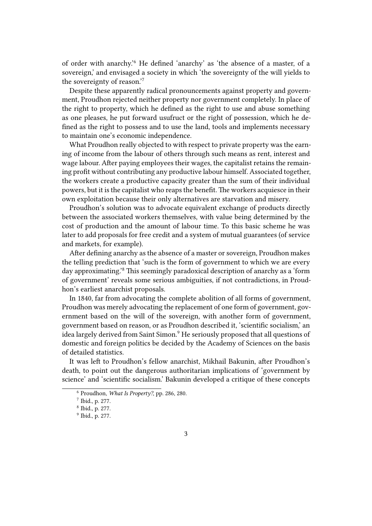of order with anarchy.'<sup>6</sup> He defined 'anarchy' as 'the absence of a master, of a sovereign,' and envisaged a society in which 'the sovereignty of the will yields to the sovereignty of reason.'<sup>7</sup>

Despite these apparently radical pronouncements against property and government, Proudhon rejected neither property nor government completely. In place of the right to property, which he defined as the right to use and abuse something as one pleases, he put forward usufruct or the right of possession, which he defined as the right to possess and to use the land, tools and implements necessary to maintain one's economic independence.

What Proudhon really objected to with respect to private property was the earning of income from the labour of others through such means as rent, interest and wage labour. After paying employees their wages, the capitalist retains the remaining profit without contributing any productive labour himself. Associated together, the workers create a productive capacity greater than the sum of their individual powers, but it is the capitalist who reaps the benefit. The workers acquiesce in their own exploitation because their only alternatives are starvation and misery.

Proudhon's solution was to advocate equivalent exchange of products directly between the associated workers themselves, with value being determined by the cost of production and the amount of labour time. To this basic scheme he was later to add proposals for free credit and a system of mutual guarantees (of service and markets, for example).

After defining anarchy as the absence of a master or sovereign, Proudhon makes the telling prediction that 'such is the form of government to which we are every day approximating.'<sup>8</sup> This seemingly paradoxical description of anarchy as a 'form of government' reveals some serious ambiguities, if not contradictions, in Proudhon's earliest anarchist proposals.

In 1840, far from advocating the complete abolition of all forms of government, Proudhon was merely advocating the replacement of one form of government, government based on the will of the sovereign, with another form of government, government based on reason, or as Proudhon described it, 'scientific socialism,' an idea largely derived from Saint Simon.<sup>9</sup> He seriously proposed that all questions of domestic and foreign politics be decided by the Academy of Sciences on the basis of detailed statistics.

It was left to Proudhon's fellow anarchist, Mikhail Bakunin, after Proudhon's death, to point out the dangerous authoritarian implications of 'government by science' and 'scientific socialism.' Bakunin developed a critique of these concepts

<sup>6</sup> Proudhon, *What Is Property?*, pp. 286, 280.

<sup>7</sup> Ibid., p. 277.

<sup>8</sup> Ibid., p. 277.

<sup>9</sup> Ibid., p. 277.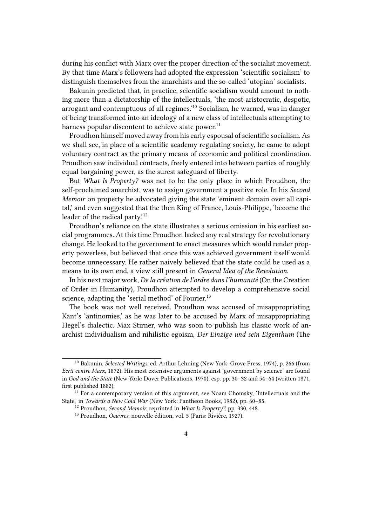during his conflict with Marx over the proper direction of the socialist movement. By that time Marx's followers had adopted the expression 'scientific socialism' to distinguish themselves from the anarchists and the so-called 'utopian' socialists.

Bakunin predicted that, in practice, scientific socialism would amount to nothing more than a dictatorship of the intellectuals, 'the most aristocratic, despotic, arrogant and contemptuous of all regimes.'<sup>10</sup> Socialism, he warned, was in danger of being transformed into an ideology of a new class of intellectuals attempting to harness popular discontent to achieve state power.<sup>11</sup>

Proudhon himself moved away from his early espousal of scientific socialism. As we shall see, in place of a scientific academy regulating society, he came to adopt voluntary contract as the primary means of economic and political coordination. Proudhon saw individual contracts, freely entered into between parties of roughly equal bargaining power, as the surest safeguard of liberty.

But *What Is Property?* was not to be the only place in which Proudhon, the self-proclaimed anarchist, was to assign government a positive role. In his *Second Memoir* on property he advocated giving the state 'eminent domain over all capital,' and even suggested that the then King of France, Louis-Philippe, 'become the leader of the radical party.'<sup>12</sup>

Proudhon's reliance on the state illustrates a serious omission in his earliest social programmes. At this time Proudhon lacked any real strategy for revolutionary change. He looked to the government to enact measures which would render property powerless, but believed that once this was achieved government itself would become unnecessary. He rather naively believed that the state could be used as a means to its own end, a view still present in *General Idea of the Revolution*.

In his next major work, *De la création de l'ordre dans l'humanité* (On the Creation of Order in Humanity), Proudhon attempted to develop a comprehensive social science, adapting the 'serial method' of Fourier.<sup>13</sup>

The book was not well received. Proudhon was accused of misappropriating Kant's 'antinomies,' as he was later to be accused by Marx of misappropriating Hegel's dialectic. Max Stirner, who was soon to publish his classic work of anarchist individualism and nihilistic egoism, *Der Einzige und sein Eigenthum* (The

<sup>10</sup> Bakunin, *Selected Writings*, ed. Arthur Lehning (New York: Grove Press, 1974), p. 266 (from *Ecrit contre Marx*, 1872). His most extensive arguments against 'government by science' are found in *God and the State* (New York: Dover Publications, 1970), esp. pp. 30–32 and 54–64 (written 1871, first published 1882).

 $11$  For a contemporary version of this argument, see Noam Chomsky, 'Intellectuals and the State,' in *Towards a New Cold War* (New York: Pantheon Books, 1982), pp. 60–85.

<sup>12</sup> Proudhon, *Second Memoir*, reprinted in *What Is Property?*, pp. 330, 448.

<sup>13</sup> Proudhon, *Oeuvres*, nouvelle édition, vol. 5 (Paris: Rivière, 1927).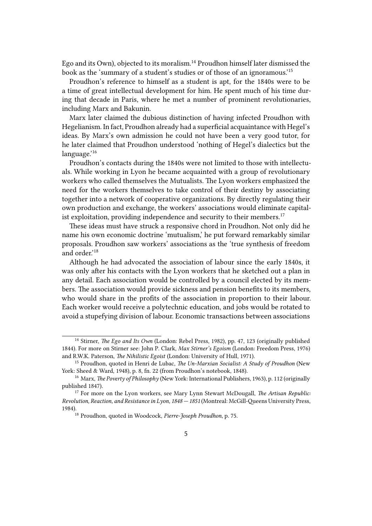Ego and its Own), objected to its moralism.<sup>14</sup> Proudhon himself later dismissed the book as the 'summary of a student's studies or of those of an ignoramous.'<sup>15</sup>

Proudhon's reference to himself as a student is apt, for the 1840s were to be a time of great intellectual development for him. He spent much of his time during that decade in Paris, where he met a number of prominent revolutionaries, including Marx and Bakunin.

Marx later claimed the dubious distinction of having infected Proudhon with Hegelianism. In fact, Proudhon already had a superficial acquaintance with Hegel's ideas. By Marx's own admission he could not have been a very good tutor, for he later claimed that Proudhon understood 'nothing of Hegel's dialectics but the language.'<sup>16</sup>

Proudhon's contacts during the 1840s were not limited to those with intellectuals. While working in Lyon he became acquainted with a group of revolutionary workers who called themselves the Mutualists. The Lyon workers emphasized the need for the workers themselves to take control of their destiny by associating together into a network of cooperative organizations. By directly regulating their own production and exchange, the workers' associations would eliminate capitalist exploitation, providing independence and security to their members.<sup>17</sup>

These ideas must have struck a responsive chord in Proudhon. Not only did he name his own economic doctrine 'mutualism,' he put forward remarkably similar proposals. Proudhon saw workers' associations as the 'true synthesis of freedom and order<sup>'18</sup>

Although he had advocated the association of labour since the early 1840s, it was only after his contacts with the Lyon workers that he sketched out a plan in any detail. Each association would be controlled by a council elected by its members. The association would provide sickness and pension benefits to its members, who would share in the profits of the association in proportion to their labour. Each worker would receive a polytechnic education, and jobs would be rotated to avoid a stupefying division of labour. Economic transactions between associations

<sup>14</sup> Stirner, *The Ego and Its Own* (London: Rebel Press, 1982), pp. 47, 123 (originally published 1844). For more on Stirner see: John P. Clark, *Max Stirner's Egoism* (London: Freedom Press, 1976) and R.W.K. Paterson, *The Nihilistic Egoist* (London: University of Hull, 1971).

<sup>15</sup> Proudhon, quoted in Henri de Lubac, *The Un-Marxian Socialist: A Study of Proudhon* (New York: Sheed & Ward, 1948), p. 8, fn. 22 (from Proudhon's notebook, 1848).

<sup>16</sup> Marx, *The Poverty of Philosophy* (New York: International Publishers, 1963), p. 112 (originally published 1847).

<sup>17</sup> For more on the Lyon workers, see Mary Lynn Stewart McDougall, *The Artisan Republic: Revolution, Reaction, and Resistance in Lyon, 1848 — 1851* (Montreal: McGill-Queens University Press, 1984).

<sup>18</sup> Proudhon, quoted in Woodcock, *Pierre-Joseph Proudhon*, p. 75.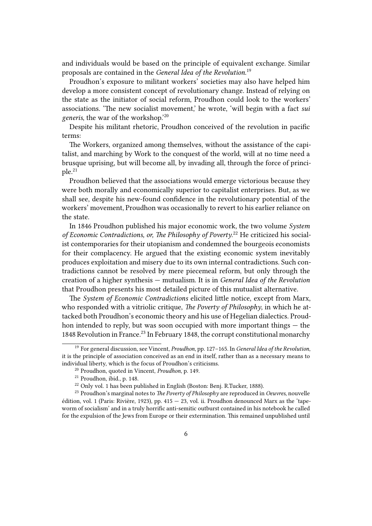and individuals would be based on the principle of equivalent exchange. Similar proposals are contained in the *General Idea of the Revolution*. 19

Proudhon's exposure to militant workers' societies may also have helped him develop a more consistent concept of revolutionary change. Instead of relying on the state as the initiator of social reform, Proudhon could look to the workers' associations. 'The new socialist movement,' he wrote, 'will begin with a fact *sui generis*, the war of the workshop.'<sup>20</sup>

Despite his militant rhetoric, Proudhon conceived of the revolution in pacific terms:

The Workers, organized among themselves, without the assistance of the capitalist, and marching by Work to the conquest of the world, will at no time need a brusque uprising, but will become all, by invading all, through the force of principle.<sup>21</sup>

Proudhon believed that the associations would emerge victorious because they were both morally and economically superior to capitalist enterprises. But, as we shall see, despite his new-found confidence in the revolutionary potential of the workers' movement, Proudhon was occasionally to revert to his earlier reliance on the state.

In 1846 Proudhon published his major economic work, the two volume *System* of Economic Contradictions, or, The Philosophy of Poverty.<sup>22</sup> He criticized his socialist contemporaries for their utopianism and condemned the bourgeois economists for their complacency. He argued that the existing economic system inevitably produces exploitation and misery due to its own internal contradictions. Such contradictions cannot be resolved by mere piecemeal reform, but only through the creation of a higher synthesis — mutualism. It is in *General Idea of the Revolution* that Proudhon presents his most detailed picture of this mutualist alternative.

The *System of Economic Contradictions* elicited little notice, except from Marx, who responded with a vitriolic critique, *The Poverty of Philosophy*, in which he attacked both Proudhon's economic theory and his use of Hegelian dialectics. Proudhon intended to reply, but was soon occupied with more important things — the 1848 Revolution in France.<sup>23</sup> In February 1848, the corrupt constitutional monarchy

<sup>19</sup> For general discussion, see Vincent, *Proudhon*, pp. 127–165. In *General Idea of the Revolution*, it is the principle of association conceived as an end in itself, rather than as a necessary means to individual liberty, which is the focus of Proudhon's criticisms.

<sup>20</sup> Proudhon, quoted in Vincent, *Proudhon*, p. 149.

<sup>21</sup> Proudhon, ibid., p. 148.

<sup>&</sup>lt;sup>22</sup> Only vol. 1 has been published in English (Boston: Benj. R.Tucker, 1888).

<sup>23</sup> Proudhon's marginal notes to *The Poverty of Philosophy* are reproduced in *Oeuvres*, nouvelle édition, vol. 1 (Paris: Rivière, 1923), pp. 415  $-$  23, vol. ii. Proudhon denounced Marx as the 'tapeworm of socialism' and in a truly horrific anti-semitic outburst contained in his notebook he called for the expulsion of the Jews from Europe or their extermination. This remained unpublished until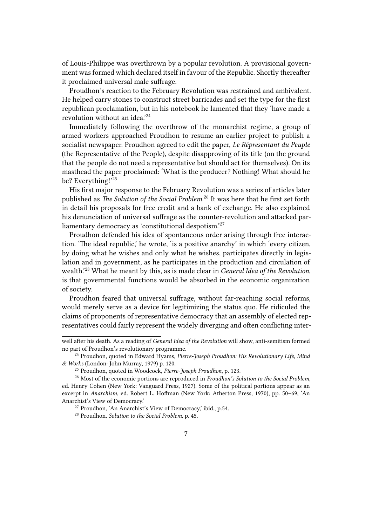of Louis-Philippe was overthrown by a popular revolution. A provisional government was formed which declared itself in favour of the Republic. Shortly thereafter it proclaimed universal male suffrage.

Proudhon's reaction to the February Revolution was restrained and ambivalent. He helped carry stones to construct street barricades and set the type for the first republican proclamation, but in his notebook he lamented that they 'have made a revolution without an idea.'<sup>24</sup>

Immediately following the overthrow of the monarchist regime, a group of armed workers approached Proudhon to resume an earlier project to publish a socialist newspaper. Proudhon agreed to edit the paper, *Le Répresentant du Peuple* (the Representative of the People), despite disapproving of its title (on the ground that the people do not need a representative but should act for themselves). On its masthead the paper proclaimed: 'What is the producer? Nothing! What should he be? Everything!'25

His first major response to the February Revolution was a series of articles later published as *The Solution of the Social Problem*. <sup>26</sup> It was here that he first set forth in detail his proposals for free credit and a bank of exchange. He also explained his denunciation of universal suffrage as the counter-revolution and attacked parliamentary democracy as 'constitutional despotism.'<sup>27</sup>

Proudhon defended his idea of spontaneous order arising through free interaction. 'The ideal republic,' he wrote, 'is a positive anarchy' in which 'every citizen, by doing what he wishes and only what he wishes, participates directly in legislation and in government, as he participates in the production and circulation of wealth.'<sup>28</sup> What he meant by this, as is made clear in *General Idea of the Revolution*, is that governmental functions would be absorbed in the economic organization of society.

Proudhon feared that universal suffrage, without far-reaching social reforms, would merely serve as a device for legitimizing the status quo. He ridiculed the claims of proponents of representative democracy that an assembly of elected representatives could fairly represent the widely diverging and often conflicting inter-

well after his death. As a reading of *General Idea of the Revolution* will show, anti-semitism formed no part of Proudhon's revolutionary programme.

<sup>24</sup> Proudhon, quoted in Edward Hyams, *Pierre-Joseph Proudhon: His Revolutionary Life, Mind & Works* (London: John Murray, 1979) p. 120.

<sup>25</sup> Proudhon, quoted in Woodcock, *Pierre-Joseph Proudhon*, p. 123.

<sup>26</sup> Most of the economic portions are reproduced in *Proudhon's Solution to the Social Problem*, ed. Henry Cohen (New York: Vanguard Press, 1927). Some of the political portions appear as an excerpt in *Anarchism*, ed. Robert L. Hoffman (New York: Atherton Press, 1970), pp. 50–69, 'An Anarchist's View of Democracy.'

<sup>&</sup>lt;sup>27</sup> Proudhon, 'An Anarchist's View of Democracy, ibid., p.54.

<sup>28</sup> Proudhon, *Solution to the Social Problem*, p. 45.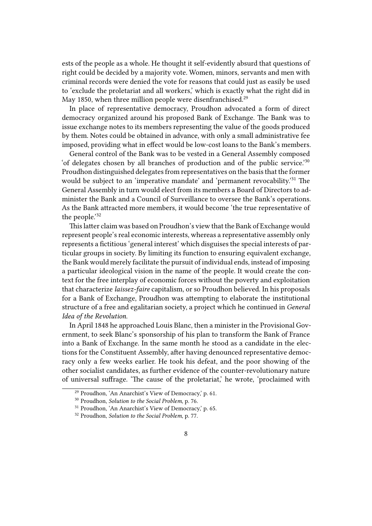ests of the people as a whole. He thought it self-evidently absurd that questions of right could be decided by a majority vote. Women, minors, servants and men with criminal records were denied the vote for reasons that could just as easily be used to 'exclude the proletariat and all workers,' which is exactly what the right did in May 1850, when three million people were disenfranchised.<sup>29</sup>

In place of representative democracy, Proudhon advocated a form of direct democracy organized around his proposed Bank of Exchange. The Bank was to issue exchange notes to its members representing the value of the goods produced by them. Notes could be obtained in advance, with only a small administrative fee imposed, providing what in effect would be low-cost loans to the Bank's members.

General control of the Bank was to be vested in a General Assembly composed 'of delegates chosen by all branches of production and of the public service.'<sup>30</sup> Proudhon distinguished delegates from representatives on the basis that the former would be subject to an 'imperative mandate' and 'permanent revocability.<sup>'31</sup> The General Assembly in turn would elect from its members a Board of Directors to administer the Bank and a Council of Surveillance to oversee the Bank's operations. As the Bank attracted more members, it would become 'the true representative of the people.'32

This latter claim was based on Proudhon's view that the Bank of Exchange would represent people's real economic interests, whereas a representative assembly only represents a fictitious 'general interest' which disguises the special interests of particular groups in society. By limiting its function to ensuring equivalent exchange, the Bank would merely facilitate the pursuit of individual ends, instead of imposing a particular ideological vision in the name of the people. It would create the context for the free interplay of economic forces without the poverty and exploitation that characterize *laissez-faire* capitalism, or so Proudhon believed. In his proposals for a Bank of Exchange, Proudhon was attempting to elaborate the institutional structure of a free and egalitarian society, a project which he continued in *General Idea of the Revolution*.

In April 1848 he approached Louis Blanc, then a minister in the Provisional Government, to seek Blanc's sponsorship of his plan to transform the Bank of France into a Bank of Exchange. In the same month he stood as a candidate in the elections for the Constituent Assembly, after having denounced representative democracy only a few weeks earlier. He took his defeat, and the poor showing of the other socialist candidates, as further evidence of the counter-revolutionary nature of universal suffrage. 'The cause of the proletariat,' he wrote, 'proclaimed with

<sup>29</sup> Proudhon, 'An Anarchist's View of Democracy,' p. 61.

<sup>30</sup> Proudhon, *Solution to the Social Problem*, p. 76.

<sup>31</sup> Proudhon, 'An Anarchist's View of Democracy,' p. 65.

<sup>32</sup> Proudhon, *Solution to the Social Problem*, p. 77.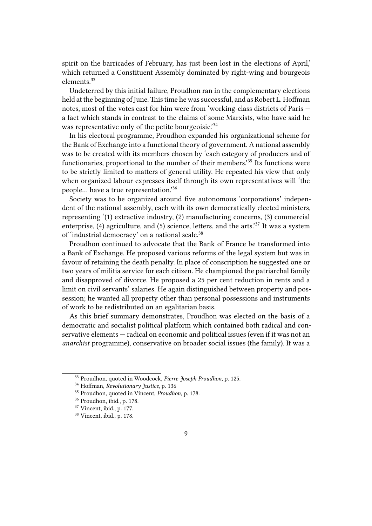spirit on the barricades of February, has just been lost in the elections of April,' which returned a Constituent Assembly dominated by right-wing and bourgeois elements<sup>33</sup>

Undeterred by this initial failure, Proudhon ran in the complementary elections held at the beginning of June. This time he was successful, and as Robert L. Hoffman notes, most of the votes cast for him were from 'working-class districts of Paris a fact which stands in contrast to the claims of some Marxists, who have said he was representative only of the petite bourgeoisie.<sup>34</sup>

In his electoral programme, Proudhon expanded his organizational scheme for the Bank of Exchange into a functional theory of government. A national assembly was to be created with its members chosen by 'each category of producers and of functionaries, proportional to the number of their members.'<sup>35</sup> Its functions were to be strictly limited to matters of general utility. He repeated his view that only when organized labour expresses itself through its own representatives will 'the people… have a true representation.'<sup>36</sup>

Society was to be organized around five autonomous 'corporations' independent of the national assembly, each with its own democratically elected ministers, representing '(1) extractive industry, (2) manufacturing concerns, (3) commercial enterprise, (4) agriculture, and (5) science, letters, and the arts.'<sup>37</sup> It was a system of 'industrial democracy' on a national scale.<sup>38</sup>

Proudhon continued to advocate that the Bank of France be transformed into a Bank of Exchange. He proposed various reforms of the legal system but was in favour of retaining the death penalty. In place of conscription he suggested one or two years of militia service for each citizen. He championed the patriarchal family and disapproved of divorce. He proposed a 25 per cent reduction in rents and a limit on civil servants' salaries. He again distinguished between property and possession; he wanted all property other than personal possessions and instruments of work to be redistributed on an egalitarian basis.

As this brief summary demonstrates, Proudhon was elected on the basis of a democratic and socialist political platform which contained both radical and conservative elements — radical on economic and political issues (even if it was not an *anarchist* programme), conservative on broader social issues (the family). It was a

<sup>33</sup> Proudhon, quoted in Woodcock, *Pierre-Joseph Proudhon*, p. 125.

<sup>34</sup> Hoffman, *Revolutionary Justice*, p. 136

<sup>35</sup> Proudhon, quoted in Vincent, *Proudhon*, p. 178.

<sup>36</sup> Proudhon, ibid., p. 178.

<sup>37</sup> Vincent, ibid., p. 177.

<sup>38</sup> Vincent, ibid., p. 178.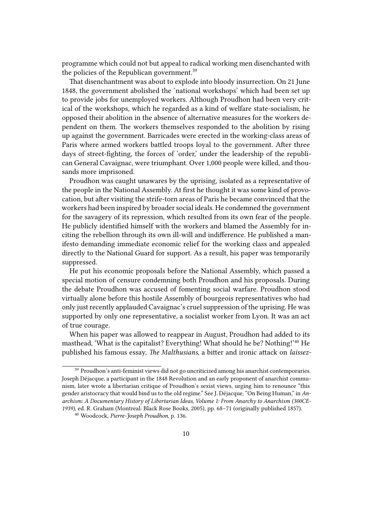programme which could not but appeal to radical working men disenchanted with the policies of the Republican government.<sup>39</sup>

That disenchantment was about to explode into bloody insurrection. On 21 June 1848, the government abolished the 'national workshops' which had been set up to provide jobs for unemployed workers. Although Proudhon had been very critical of the workshops, which he regarded as a kind of welfare state-socialism, he opposed their abolition in the absence of alternative measures for the workers dependent on them. The workers themselves responded to the abolition by rising up against the government. Barricades were erected in the working-class areas of Paris where armed workers battled troops loyal to the government. After three days of street-fighting, the forces of 'order,' under the leadership of the republican General Cavaignac, were triumphant. Over 1,000 people were killed, and thousands more imprisoned.

Proudhon was caught unawares by the uprising, isolated as a representative of the people in the National Assembly. At first he thought it was some kind of provocation, but after visiting the strife-torn areas of Paris he became convinced that the workers had been inspired by broader social ideals. He condemned the government for the savagery of its repression, which resulted from its own fear of the people. He publicly identified himself with the workers and blamed the Assembly for inciting the rebellion through its own ill-will and indifference. He published a manifesto demanding immediate economic relief for the working class and appealed directly to the National Guard for support. As a result, his paper was temporarily suppressed.

He put his economic proposals before the National Assembly, which passed a special motion of censure condemning both Proudhon and his proposals. During the debate Proudhon was accused of fomenting social warfare. Proudhon stood virtually alone before this hostile Assembly of bourgeois representatives who had only just recently applauded Cavaignac's cruel suppression of the uprising. He was supported by only one representative, a socialist worker from Lyon. It was an act of true courage.

When his paper was allowed to reappear in August, Proudhon had added to its masthead, 'What is the capitalist? Everything! What should he be? Nothing!'<sup>40</sup> He published his famous essay, *The Malthusians*, a bitter and ironic attack on *laissez-*

 $^{\rm 39}$  Proudhon's anti-feminist views did not go uncriticized among his anarchist contemporaries. Joseph Déjacque, a participant in the 1848 Revolution and an early proponent of anarchist communism, later wrote a libertarian critique of Proudhon's sexist views, urging him to renounce "this gender aristocracy that would bind us to the old regime." See J. Déjacque, "On Being Human," in *Anarchism: A Documentary History of Libertarian Ideas, Volume 1: From Anarchy to Anarchism (300CE-1939)*, ed. R. Graham (Montreal: Black Rose Books, 2005), pp. 68–71 (originally published 1857).

<sup>40</sup> Woodcock, *Pierre-Joseph Proudhon*, p. 136.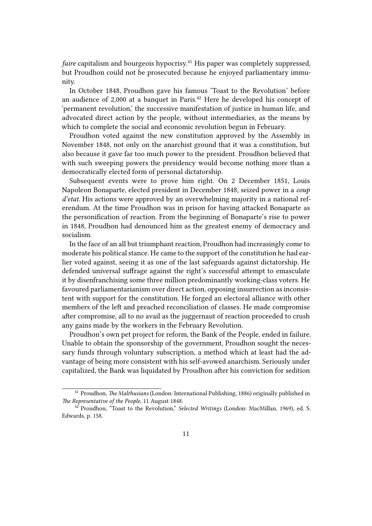*faire* capitalism and bourgeois hypocrisy.<sup>41</sup> His paper was completely suppressed, but Proudhon could not be prosecuted because he enjoyed parliamentary immunity.

In October 1848, Proudhon gave his famous 'Toast to the Revolution' before an audience of 2,000 at a banquet in Paris. $42$  Here he developed his concept of 'permanent revolution,' the successive manifestation of justice in human life, and advocated direct action by the people, without intermediaries, as the means by which to complete the social and economic revolution begun in February.

Proudhon voted against the new constitution approved by the Assembly in November 1848, not only on the anarchist ground that it was a constitution, but also because it gave far too much power to the president. Proudhon believed that with such sweeping powers the presidency would become nothing more than a democratically elected form of personal dictatorship.

Subsequent events were to prove him right. On 2 December 1851, Louis Napoleon Bonaparte, elected president in December 1848, seized power in a *coup d'etat*. His actions were approved by an overwhelming majority in a national referendum. At the time Proudhon was in prison for having attacked Bonaparte as the personification of reaction. From the beginning of Bonaparte's rise to power in 1848, Proudhon had denounced him as the greatest enemy of democracy and socialism.

In the face of an all but triumphant reaction, Proudhon had increasingly come to moderate his political stance. He came to the support of the constitution he had earlier voted against, seeing it as one of the last safeguards against dictatorship. He defended universal suffrage against the right's successful attempt to emasculate it by disenfranchising some three million predominantly working-class voters. He favoured parliamentarianism over direct action, opposing insurrection as inconsistent with support for the constitution. He forged an electoral alliance with other members of the left and preached reconciliation of classes. He made compromise after compromise, all to no avail as the juggernaut of reaction proceeded to crush any gains made by the workers in the February Revolution.

Proudhon's own pet project for reform, the Bank of the People, ended in failure. Unable to obtain the sponsorship of the government, Proudhon sought the necessary funds through voluntary subscription, a method which at least had the advantage of being more consistent with his self-avowed anarchism. Seriously under capitalized, the Bank was liquidated by Proudhon after his conviction for sedition

<sup>41</sup> Proudhon, *The Malthusians* (London: International Publishing, 1886) originally published in *The Representative of the People*, 11 August 1848.

<sup>42</sup> Proudhon, "Toast to the Revolution," *Selected Writings* (London: MacMillan, 1969), ed. S. Edwards, p. 158.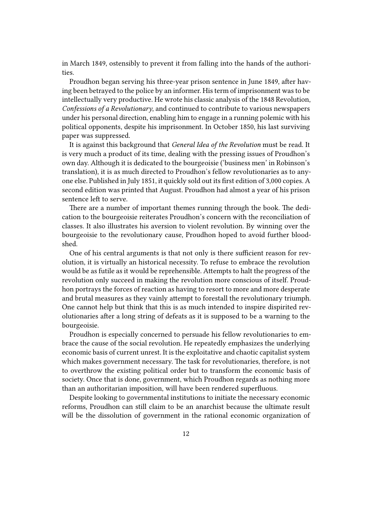in March 1849, ostensibly to prevent it from falling into the hands of the authorities.

Proudhon began serving his three-year prison sentence in June 1849, after having been betrayed to the police by an informer. His term of imprisonment was to be intellectually very productive. He wrote his classic analysis of the 1848 Revolution, *Confessions of a Revolutionary*, and continued to contribute to various newspapers under his personal direction, enabling him to engage in a running polemic with his political opponents, despite his imprisonment. In October 1850, his last surviving paper was suppressed.

It is against this background that *General Idea of the Revolution* must be read. It is very much a product of its time, dealing with the pressing issues of Proudhon's own day. Although it is dedicated to the bourgeoisie ('business men' in Robinson's translation), it is as much directed to Proudhon's fellow revolutionaries as to anyone else. Published in July 1851, it quickly sold out its first edition of 3,000 copies. A second edition was printed that August. Proudhon had almost a year of his prison sentence left to serve.

There are a number of important themes running through the book. The dedication to the bourgeoisie reiterates Proudhon's concern with the reconciliation of classes. It also illustrates his aversion to violent revolution. By winning over the bourgeoisie to the revolutionary cause, Proudhon hoped to avoid further bloodshed.

One of his central arguments is that not only is there sufficient reason for revolution, it is virtually an historical necessity. To refuse to embrace the revolution would be as futile as it would be reprehensible. Attempts to halt the progress of the revolution only succeed in making the revolution more conscious of itself. Proudhon portrays the forces of reaction as having to resort to more and more desperate and brutal measures as they vainly attempt to forestall the revolutionary triumph. One cannot help but think that this is as much intended to inspire dispirited revolutionaries after a long string of defeats as it is supposed to be a warning to the bourgeoisie.

Proudhon is especially concerned to persuade his fellow revolutionaries to embrace the cause of the social revolution. He repeatedly emphasizes the underlying economic basis of current unrest. It is the exploitative and chaotic capitalist system which makes government necessary. The task for revolutionaries, therefore, is not to overthrow the existing political order but to transform the economic basis of society. Once that is done, government, which Proudhon regards as nothing more than an authoritarian imposition, will have been rendered superfluous.

Despite looking to governmental institutions to initiate the necessary economic reforms, Proudhon can still claim to be an anarchist because the ultimate result will be the dissolution of government in the rational economic organization of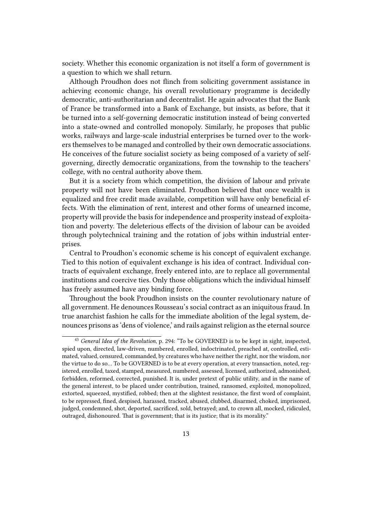society. Whether this economic organization is not itself a form of government is a question to which we shall return.

Although Proudhon does not flinch from soliciting government assistance in achieving economic change, his overall revolutionary programme is decidedly democratic, anti-authoritarian and decentralist. He again advocates that the Bank of France be transformed into a Bank of Exchange, but insists, as before, that it be turned into a self-governing democratic institution instead of being converted into a state-owned and controlled monopoly. Similarly, he proposes that public works, railways and large-scale industrial enterprises be turned over to the workers themselves to be managed and controlled by their own democratic associations. He conceives of the future socialist society as being composed of a variety of selfgoverning, directly democratic organizations, from the township to the teachers' college, with no central authority above them.

But it is a society from which competition, the division of labour and private property will not have been eliminated. Proudhon believed that once wealth is equalized and free credit made available, competition will have only beneficial effects. With the elimination of rent, interest and other forms of unearned income, property will provide the basis for independence and prosperity instead of exploitation and poverty. The deleterious effects of the division of labour can be avoided through polytechnical training and the rotation of jobs within industrial enterprises.

Central to Proudhon's economic scheme is his concept of equivalent exchange. Tied to this notion of equivalent exchange is his idea of contract. Individual contracts of equivalent exchange, freely entered into, are to replace all governmental institutions and coercive ties. Only those obligations which the individual himself has freely assumed have any binding force.

Throughout the book Proudhon insists on the counter revolutionary nature of all government. He denounces Rousseau's social contract as an iniquitous fraud. In true anarchist fashion he calls for the immediate abolition of the legal system, denounces prisons as 'dens of violence,' and rails against religion as the eternal source

<sup>43</sup> *General Idea of the Revolution*, p. 294: "To be GOVERNED is to be kept in sight, inspected, spied upon, directed, law-driven, numbered, enrolled, indoctrinated, preached at, controlled, estimated, valued, censured, commanded, by creatures who have neither the right, nor the wisdom, nor the virtue to do so… To be GOVERNED is to be at every operation, at every transaction, noted, registered, enrolled, taxed, stamped, measured, numbered, assessed, licensed, authorized, admonished, forbidden, reformed, corrected, punished. It is, under pretext of public utility, and in the name of the general interest, to be placed under contribution, trained, ransomed, exploited, monopolized, extorted, squeezed, mystified, robbed; then at the slightest resistance, the first word of complaint, to be repressed, fined, despised, harassed, tracked, abused, clubbed, disarmed, choked, imprisoned, judged, condemned, shot, deported, sacrificed, sold, betrayed; and, to crown all, mocked, ridiculed, outraged, dishonoured. That is government; that is its justice; that is its morality."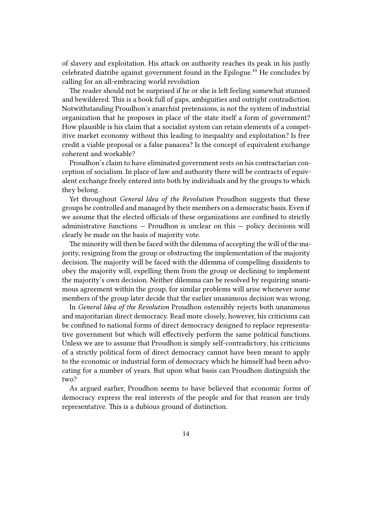of slavery and exploitation. His attack on authority reaches its peak in his justly celebrated diatribe against government found in the Epilogue.<sup>43</sup> He concludes by calling for an all-embracing world revolution

The reader should not be surprised if he or she is left feeling somewhat stunned and bewildered. This is a book full of gaps, ambiguities and outright contradiction. Notwithstanding Proudhon's anarchist pretensions, is not the system of industrial organization that he proposes in place of the state itself a form of government? How plausible is his claim that a socialist system can retain elements of a competitive market economy without this leading to inequality and exploitation? Is free credit a viable proposal or a false panacea? Is the concept of equivalent exchange coherent and workable?

Proudhon's claim to have eliminated government rests on his contractarian conception of socialism. In place of law and authority there will be contracts of equivalent exchange freely entered into both by individuals and by the groups to which they belong.

Yet throughout *General Idea of the Revolution* Proudhon suggests that these groups be controlled and managed by their members on a democratic basis. Even if we assume that the elected officials of these organizations are confined to strictly administrative functions — Proudhon is unclear on this — policy decisions will clearly be made on the basis of majority vote.

The minority will then be faced with the dilemma of accepting the will of the majority, resigning from the group or obstructing the implementation of the majority decision. The majority will be faced with the dilemma of compelling dissidents to obey the majority will, expelling them from the group or declining to implement the majority's own decision. Neither dilemma can be resolved by requiring unanimous agreement within the group, for similar problems will arise whenever some members of the group later decide that the earlier unanimous decision was wrong.

In *General Idea of the Revolution* Proudhon ostensibly rejects both unanimous and majoritarian direct democracy. Read more closely, however, his criticisms can be confined to national forms of direct democracy designed to replace representative government but which will effectively perform the same political functions. Unless we are to assume that Proudhon is simply self-contradictory, his criticisms of a strictly political form of direct democracy cannot have been meant to apply to the economic or industrial form of democracy which he himself had been advocating for a number of years. But upon what basis can Proudhon distinguish the two?

As argued earlier, Proudhon seems to have believed that economic forms of democracy express the real interests of the people and for that reason are truly representative. This is a dubious ground of distinction.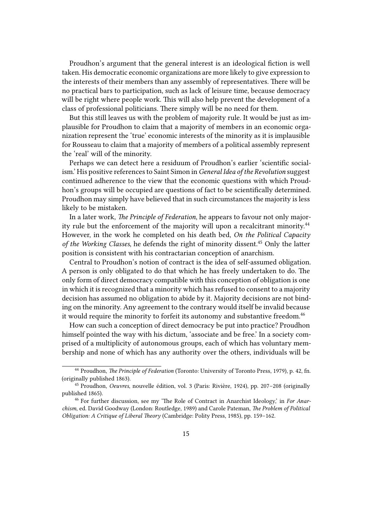Proudhon's argument that the general interest is an ideological fiction is well taken. His democratic economic organizations are more likely to give expression to the interests of their members than any assembly of representatives. There will be no practical bars to participation, such as lack of leisure time, because democracy will be right where people work. This will also help prevent the development of a class of professional politicians. There simply will be no need for them.

But this still leaves us with the problem of majority rule. It would be just as implausible for Proudhon to claim that a majority of members in an economic organization represent the 'true' economic interests of the minority as it is implausible for Rousseau to claim that a majority of members of a political assembly represent the 'real' will of the minority.

Perhaps we can detect here a residuum of Proudhon's earlier 'scientific socialism.' His positive references to Saint Simon in *General Idea of the Revolution* suggest continued adherence to the view that the economic questions with which Proudhon's groups will be occupied are questions of fact to be scientifically determined. Proudhon may simply have believed that in such circumstances the majority is less likely to be mistaken.

In a later work, *The Principle of Federation*, he appears to favour not only majority rule but the enforcement of the majority will upon a recalcitrant minority.<sup>44</sup> However, in the work he completed on his death bed, *On the Political Capacity* of the Working Classes, he defends the right of minority dissent.<sup>45</sup> Only the latter position is consistent with his contractarian conception of anarchism.

Central to Proudhon's notion of contract is the idea of self-assumed obligation. A person is only obligated to do that which he has freely undertaken to do. The only form of direct democracy compatible with this conception of obligation is one in which it is recognized that a minority which has refused to consent to a majority decision has assumed no obligation to abide by it. Majority decisions are not binding on the minority. Any agreement to the contrary would itself be invalid because it would require the minority to forfeit its autonomy and substantive freedom.<sup>46</sup>

How can such a conception of direct democracy be put into practice? Proudhon himself pointed the way with his dictum, 'associate and be free.' In a society comprised of a multiplicity of autonomous groups, each of which has voluntary membership and none of which has any authority over the others, individuals will be

<sup>44</sup> Proudhon, *The Principle of Federation* (Toronto: University of Toronto Press, 1979), p. 42, fn. (originally published 1863).

<sup>45</sup> Proudhon, *Oeuvres*, nouvelle édition, vol. 3 (Paris: Rivière, 1924), pp. 207–208 (originally published 1865).

<sup>46</sup> For further discussion, see my 'The Role of Contract in Anarchist Ideology,' in *For Anarchism*, ed. David Goodway (London: Routledge, 1989) and Carole Pateman, *The Problem of Political Obligation: A Critique of Liberal Theory* (Cambridge: Polity Press, 1985), pp. 159–162.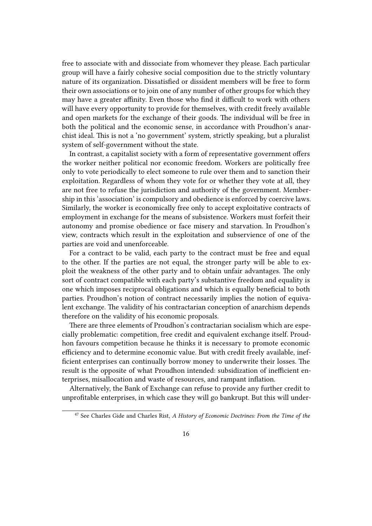free to associate with and dissociate from whomever they please. Each particular group will have a fairly cohesive social composition due to the strictly voluntary nature of its organization. Dissatisfied or dissident members will be free to form their own associations or to join one of any number of other groups for which they may have a greater affinity. Even those who find it difficult to work with others will have every opportunity to provide for themselves, with credit freely available and open markets for the exchange of their goods. The individual will be free in both the political and the economic sense, in accordance with Proudhon's anarchist ideal. This is not a 'no government' system, strictly speaking, but a pluralist system of self-government without the state.

In contrast, a capitalist society with a form of representative government offers the worker neither political nor economic freedom. Workers are politically free only to vote periodically to elect someone to rule over them and to sanction their exploitation. Regardless of whom they vote for or whether they vote at all, they are not free to refuse the jurisdiction and authority of the government. Membership in this 'association' is compulsory and obedience is enforced by coercive laws. Similarly, the worker is economically free only to accept exploitative contracts of employment in exchange for the means of subsistence. Workers must forfeit their autonomy and promise obedience or face misery and starvation. In Proudhon's view, contracts which result in the exploitation and subservience of one of the parties are void and unenforceable.

For a contract to be valid, each party to the contract must be free and equal to the other. If the parties are not equal, the stronger party will be able to exploit the weakness of the other party and to obtain unfair advantages. The only sort of contract compatible with each party's substantive freedom and equality is one which imposes reciprocal obligations and which is equally beneficial to both parties. Proudhon's notion of contract necessarily implies the notion of equivalent exchange. The validity of his contractarian conception of anarchism depends therefore on the validity of his economic proposals.

There are three elements of Proudhon's contractarian socialism which are especially problematic: competition, free credit and equivalent exchange itself. Proudhon favours competition because he thinks it is necessary to promote economic efficiency and to determine economic value. But with credit freely available, inefficient enterprises can continually borrow money to underwrite their losses. The result is the opposite of what Proudhon intended: subsidization of inefficient enterprises, misallocation and waste of resources, and rampant inflation.

Alternatively, the Bank of Exchange can refuse to provide any further credit to unprofitable enterprises, in which case they will go bankrupt. But this will under-

<sup>47</sup> See Charles Gide and Charles Rist, *A History of Economic Doctrines: From the Time of the*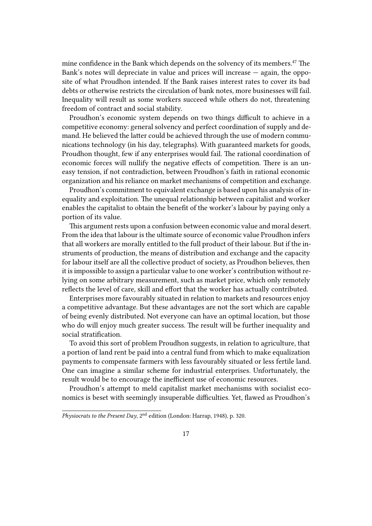mine confidence in the Bank which depends on the solvency of its members.<sup>47</sup> The Bank's notes will depreciate in value and prices will increase  $-$  again, the opposite of what Proudhon intended. If the Bank raises interest rates to cover its bad debts or otherwise restricts the circulation of bank notes, more businesses will fail. Inequality will result as some workers succeed while others do not, threatening freedom of contract and social stability.

Proudhon's economic system depends on two things difficult to achieve in a competitive economy: general solvency and perfect coordination of supply and demand. He believed the latter could be achieved through the use of modern communications technology (in his day, telegraphs). With guaranteed markets for goods, Proudhon thought, few if any enterprises would fail. The rational coordination of economic forces will nullify the negative effects of competition. There is an uneasy tension, if not contradiction, between Proudhon's faith in rational economic organization and his reliance on market mechanisms of competition and exchange.

Proudhon's commitment to equivalent exchange is based upon his analysis of inequality and exploitation. The unequal relationship between capitalist and worker enables the capitalist to obtain the benefit of the worker's labour by paying only a portion of its value.

This argument rests upon a confusion between economic value and moral desert. From the idea that labour is the ultimate source of economic value Proudhon infers that all workers are morally entitled to the full product of their labour. But if the instruments of production, the means of distribution and exchange and the capacity for labour itself are all the collective product of society, as Proudhon believes, then it is impossible to assign a particular value to one worker's contribution without relying on some arbitrary measurement, such as market price, which only remotely reflects the level of care, skill and effort that the worker has actually contributed.

Enterprises more favourably situated in relation to markets and resources enjoy a competitive advantage. But these advantages are not the sort which are capable of being evenly distributed. Not everyone can have an optimal location, but those who do will enjoy much greater success. The result will be further inequality and social stratification.

To avoid this sort of problem Proudhon suggests, in relation to agriculture, that a portion of land rent be paid into a central fund from which to make equalization payments to compensate farmers with less favourably situated or less fertile land. One can imagine a similar scheme for industrial enterprises. Unfortunately, the result would be to encourage the inefficient use of economic resources.

Proudhon's attempt to meld capitalist market mechanisms with socialist economics is beset with seemingly insuperable difficulties. Yet, flawed as Proudhon's

*Physiocrats to the Present Day*, 2nd edition (London: Harrap, 1948), p. 320.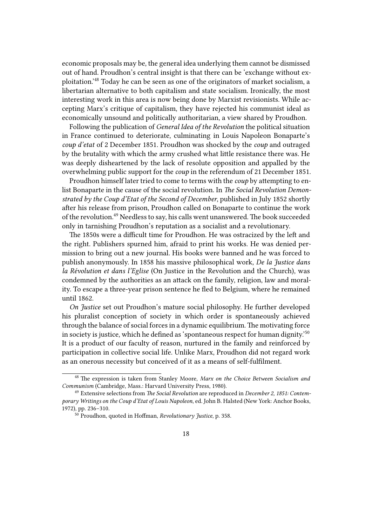economic proposals may be, the general idea underlying them cannot be dismissed out of hand. Proudhon's central insight is that there can be 'exchange without exploitation.'<sup>48</sup> Today he can be seen as one of the originators of market socialism, a libertarian alternative to both capitalism and state socialism. Ironically, the most interesting work in this area is now being done by Marxist revisionists. While accepting Marx's critique of capitalism, they have rejected his communist ideal as economically unsound and politically authoritarian, a view shared by Proudhon.

Following the publication of *General Idea of the Revolution* the political situation in France continued to deteriorate, culminating in Louis Napoleon Bonaparte's *coup d'etat* of 2 December 1851. Proudhon was shocked by the *coup* and outraged by the brutality with which the army crushed what little resistance there was. He was deeply disheartened by the lack of resolute opposition and appalled by the overwhelming public support for the *coup* in the referendum of 21 December 1851.

Proudhon himself later tried to come to terms with the *coup* by attempting to enlist Bonaparte in the cause of the social revolution. In *The Social Revolution Demonstrated by the Coup d'Etat of the Second of December*, published in July 1852 shortly after his release from prison, Proudhon called on Bonaparte to continue the work of the revolution.<sup>49</sup> Needless to say, his calls went unanswered. The book succeeded only in tarnishing Proudhon's reputation as a socialist and a revolutionary.

The 1850s were a difficult time for Proudhon. He was ostracized by the left and the right. Publishers spurned him, afraid to print his works. He was denied permission to bring out a new journal. His books were banned and he was forced to publish anonymously. In 1858 his massive philosophical work, *De la Justice dans la Révolution et dans l'Eglise* (On Justice in the Revolution and the Church), was condemned by the authorities as an attack on the family, religion, law and morality. To escape a three-year prison sentence he fled to Belgium, where he remained until 1862.

*On Justice* set out Proudhon's mature social philosophy. He further developed his pluralist conception of society in which order is spontaneously achieved through the balance of social forces in a dynamic equilibrium. The motivating force in society is justice, which he defined as 'spontaneous respect for human dignity.'<sup>50</sup> It is a product of our faculty of reason, nurtured in the family and reinforced by participation in collective social life. Unlike Marx, Proudhon did not regard work as an onerous necessity but conceived of it as a means of self-fulfilment.

<sup>48</sup> The expression is taken from Stanley Moore, *Marx on the Choice Between Socialism and Communism* (Cambridge, Mass.: Harvard University Press, 1980).

<sup>49</sup> Extensive selections from *The Social Revolution* are reproduced in *December 2, 1851: Contemporary Writings on the Coup d'Etat of Louis Napoleon*, ed. John B. Halsted (New York: Anchor Books, 1972), pp. 236–310.

<sup>50</sup> Proudhon, quoted in Hoffman, *Revolutionary Justice*, p. 358.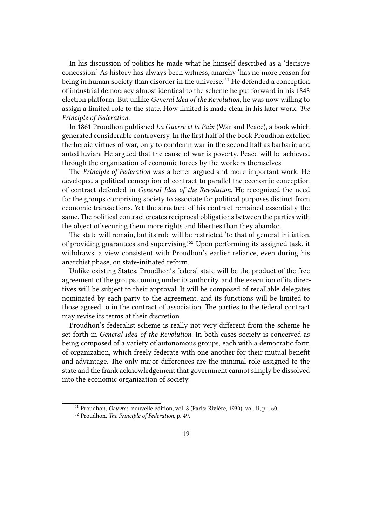In his discussion of politics he made what he himself described as a 'decisive concession.' As history has always been witness, anarchy 'has no more reason for being in human society than disorder in the universe.'<sup>51</sup> He defended a conception of industrial democracy almost identical to the scheme he put forward in his 1848 election platform. But unlike *General Idea of the Revolution*, he was now willing to assign a limited role to the state. How limited is made clear in his later work, *The Principle of Federation.*

In 1861 Proudhon published *La Guerre et la Paix* (War and Peace), a book which generated considerable controversy. In the first half of the book Proudhon extolled the heroic virtues of war, only to condemn war in the second half as barbaric and antediluvian. He argued that the cause of war is poverty. Peace will be achieved through the organization of economic forces by the workers themselves.

The *Principle of Federation* was a better argued and more important work. He developed a political conception of contract to parallel the economic conception of contract defended in *General Idea of the Revolution*. He recognized the need for the groups comprising society to associate for political purposes distinct from economic transactions. Yet the structure of his contract remained essentially the same. The political contract creates reciprocal obligations between the parties with the object of securing them more rights and liberties than they abandon.

The state will remain, but its role will be restricted 'to that of general initiation, of providing guarantees and supervising.'<sup>52</sup> Upon performing its assigned task, it withdraws, a view consistent with Proudhon's earlier reliance, even during his anarchist phase, on state-initiated reform.

Unlike existing States, Proudhon's federal state will be the product of the free agreement of the groups coming under its authority, and the execution of its directives will be subject to their approval. It will be composed of recallable delegates nominated by each party to the agreement, and its functions will be limited to those agreed to in the contract of association. The parties to the federal contract may revise its terms at their discretion.

Proudhon's federalist scheme is really not very different from the scheme he set forth in *General Idea of the Revolution*. In both cases society is conceived as being composed of a variety of autonomous groups, each with a democratic form of organization, which freely federate with one another for their mutual benefit and advantage. The only major differences are the minimal role assigned to the state and the frank acknowledgement that government cannot simply be dissolved into the economic organization of society.

<sup>51</sup> Proudhon, *Oeuvres*, nouvelle édition, vol. 8 (Paris: Rivière, 1930), vol. ii, p. 160.

<sup>52</sup> Proudhon, *The Principle of Federation*, p. 49.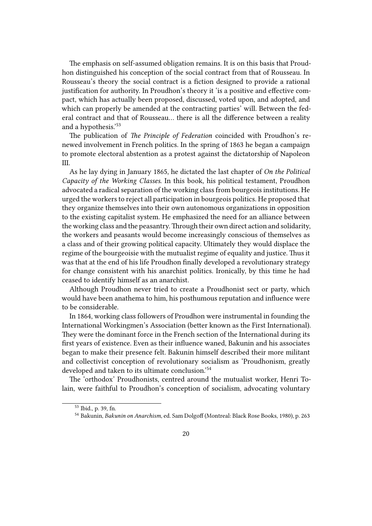The emphasis on self-assumed obligation remains. It is on this basis that Proudhon distinguished his conception of the social contract from that of Rousseau. In Rousseau's theory the social contract is a fiction designed to provide a rational justification for authority. In Proudhon's theory it 'is a positive and effective compact, which has actually been proposed, discussed, voted upon, and adopted, and which can properly be amended at the contracting parties' will. Between the federal contract and that of Rousseau… there is all the difference between a reality and a hypothesis.'<sup>53</sup>

The publication of *The Principle of Federation* coincided with Proudhon's renewed involvement in French politics. In the spring of 1863 he began a campaign to promote electoral abstention as a protest against the dictatorship of Napoleon III.

As he lay dying in January 1865, he dictated the last chapter of *On the Political Capacity of the Working Classes*. In this book, his political testament, Proudhon advocated a radical separation of the working class from bourgeois institutions. He urged the workers to reject all participation in bourgeois politics. He proposed that they organize themselves into their own autonomous organizations in opposition to the existing capitalist system. He emphasized the need for an alliance between the working class and the peasantry.Through their own direct action and solidarity, the workers and peasants would become increasingly conscious of themselves as a class and of their growing political capacity. Ultimately they would displace the regime of the bourgeoisie with the mutualist regime of equality and justice. Thus it was that at the end of his life Proudhon finally developed a revolutionary strategy for change consistent with his anarchist politics. Ironically, by this time he had ceased to identify himself as an anarchist.

Although Proudhon never tried to create a Proudhonist sect or party, which would have been anathema to him, his posthumous reputation and influence were to be considerable.

In 1864, working class followers of Proudhon were instrumental in founding the International Workingmen's Association (better known as the First International). They were the dominant force in the French section of the International during its first years of existence. Even as their influence waned, Bakunin and his associates began to make their presence felt. Bakunin himself described their more militant and collectivist conception of revolutionary socialism as 'Proudhonism, greatly developed and taken to its ultimate conclusion.'<sup>54</sup>

The 'orthodox' Proudhonists, centred around the mutualist worker, Henri Tolain, were faithful to Proudhon's conception of socialism, advocating voluntary

<sup>53</sup> Ibid., p. 39, fn.

<sup>54</sup> Bakunin, *Bakunin on Anarchism*, ed. Sam Dolgoff (Montreal: Black Rose Books, 1980), p. 263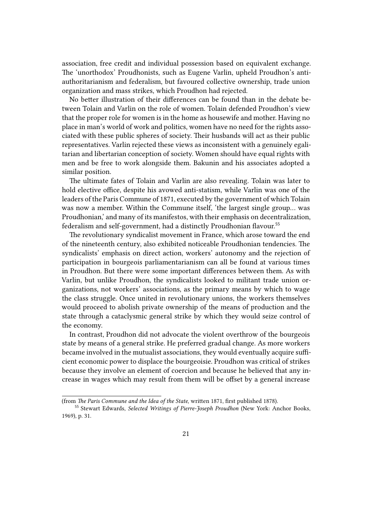association, free credit and individual possession based on equivalent exchange. The 'unorthodox' Proudhonists, such as Eugene Varlin, upheld Proudhon's antiauthoritarianism and federalism, but favoured collective ownership, trade union organization and mass strikes, which Proudhon had rejected.

No better illustration of their differences can be found than in the debate between Tolain and Varlin on the role of women. Tolain defended Proudhon's view that the proper role for women is in the home as housewife and mother. Having no place in man's world of work and politics, women have no need for the rights associated with these public spheres of society. Their husbands will act as their public representatives. Varlin rejected these views as inconsistent with a genuinely egalitarian and libertarian conception of society. Women should have equal rights with men and be free to work alongside them. Bakunin and his associates adopted a similar position.

The ultimate fates of Tolain and Varlin are also revealing. Tolain was later to hold elective office, despite his avowed anti-statism, while Varlin was one of the leaders of the Paris Commune of 1871, executed by the government of which Tolain was now a member. Within the Commune itself, 'the largest single group… was Proudhonian,' and many of its manifestos, with their emphasis on decentralization, federalism and self-government, had a distinctly Proudhonian flavour.<sup>55</sup>

The revolutionary syndicalist movement in France, which arose toward the end of the nineteenth century, also exhibited noticeable Proudhonian tendencies. The syndicalists' emphasis on direct action, workers' autonomy and the rejection of participation in bourgeois parliamentarianism can all be found at various times in Proudhon. But there were some important differences between them. As with Varlin, but unlike Proudhon, the syndicalists looked to militant trade union organizations, not workers' associations, as the primary means by which to wage the class struggle. Once united in revolutionary unions, the workers themselves would proceed to abolish private ownership of the means of production and the state through a cataclysmic general strike by which they would seize control of the economy.

In contrast, Proudhon did not advocate the violent overthrow of the bourgeois state by means of a general strike. He preferred gradual change. As more workers became involved in the mutualist associations, they would eventually acquire sufficient economic power to displace the bourgeoisie. Proudhon was critical of strikes because they involve an element of coercion and because he believed that any increase in wages which may result from them will be offset by a general increase

<sup>(</sup>from *The Paris Commune and the Idea of the State*, written 1871, first published 1878).

<sup>55</sup> Stewart Edwards, *Selected Writings of Pierre-Joseph Proudhon* (New York: Anchor Books, 1969), p. 31.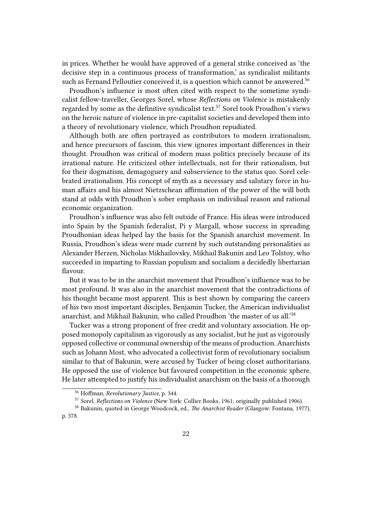in prices. Whether he would have approved of a general strike conceived as 'the decisive step in a continuous process of transformation,' as syndicalist militants such as Fernand Pelloutier conceived it, is a question which cannot be answered.<sup>56</sup>

Proudhon's influence is most often cited with respect to the sometime syndicalist fellow-traveller, Georges Sorel, whose *Reflections on Violence* is mistakenly regarded by some as the definitive syndicalist text.<sup>57</sup> Sorel took Proudhon's views on the heroic nature of violence in pre-capitalist societies and developed them into a theory of revolutionary violence, which Proudhon repudiated.

Although both are often portrayed as contributors to modern irrationalism, and hence precursors of fascism, this view ignores important differences in their thought. Proudhon was critical of modern mass politics precisely because of its irrational nature. He criticized other intellectuals, not for their rationalism, but for their dogmatism, demagoguery and subservience to the status quo. Sorel celebrated irrationalism. His concept of myth as a necessary and salutary force in human affairs and his almost Nietzschean affirmation of the power of the will both stand at odds with Proudhon's sober emphasis on individual reason and rational economic organization.

Proudhon's influence was also felt outside of France. His ideas were introduced into Spain by the Spanish federalist, Pi y Margall, whose success in spreading Proudhonian ideas helped lay the basis for the Spanish anarchist movement. In Russia, Proudhon's ideas were made current by such outstanding personalities as Alexander Herzen, Nicholas Mikhailovsky, Mikhail Bakunin and Leo Tolstoy, who succeeded in imparting to Russian populism and socialism a decidedly libertarian flavour.

But it was to be in the anarchist movement that Proudhon's influence was to be most profound. It was also in the anarchist movement that the contradictions of his thought became most apparent. This is best shown by comparing the careers of his two most important disciples, Benjamin Tucker, the American individualist anarchist, and Mikhail Bakunin, who called Proudhon 'the master of us all.'<sup>58</sup>

Tucker was a strong proponent of free credit and voluntary association. He opposed monopoly capitalism as vigorously as any socialist, but he just as vigorously opposed collective or communal ownership of the means of production. Anarchists such as Johann Most, who advocated a collectivist form of revolutionary socialism similar to that of Bakunin, were accused by Tucker of being closet authoritarians. He opposed the use of violence but favoured competition in the economic sphere. He later attempted to justify his individualist anarchism on the basis of a thorough

<sup>56</sup> Hoffman, *Revolutionary Justice*, p. 344.

<sup>57</sup> Sorel, *Reflections on Violence* (New York: Collier Books, 1961; originally published 1906).

<sup>58</sup> Bakunin, quoted in George Woodcock, ed., *The Anarchist Reader* (Glasgow: Fontana, 1977), p. 378.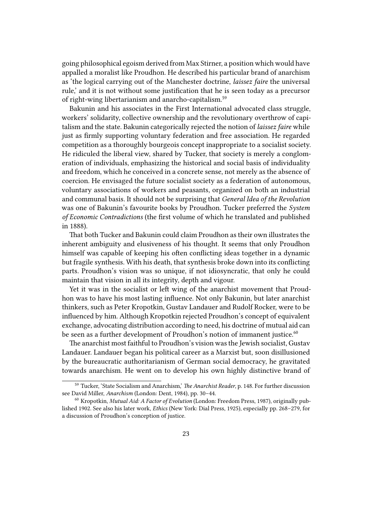going philosophical egoism derived from Max Stirner, a position which would have appalled a moralist like Proudhon. He described his particular brand of anarchism as 'the logical carrying out of the Manchester doctrine, *laissez faire* the universal rule,' and it is not without some justification that he is seen today as a precursor of right-wing libertarianism and anarcho-capitalism.<sup>59</sup>

Bakunin and his associates in the First International advocated class struggle, workers' solidarity, collective ownership and the revolutionary overthrow of capitalism and the state. Bakunin categorically rejected the notion of *laissez faire* while just as firmly supporting voluntary federation and free association. He regarded competition as a thoroughly bourgeois concept inappropriate to a socialist society. He ridiculed the liberal view, shared by Tucker, that society is merely a conglomeration of individuals, emphasizing the historical and social basis of individuality and freedom, which he conceived in a concrete sense, not merely as the absence of coercion. He envisaged the future socialist society as a federation of autonomous, voluntary associations of workers and peasants, organized on both an industrial and communal basis. It should not be surprising that *General Idea of the Revolution* was one of Bakunin's favourite books by Proudhon. Tucker preferred the *System of Economic Contradictions* (the first volume of which he translated and published in 1888).

That both Tucker and Bakunin could claim Proudhon as their own illustrates the inherent ambiguity and elusiveness of his thought. It seems that only Proudhon himself was capable of keeping his often conflicting ideas together in a dynamic but fragile synthesis. With his death, that synthesis broke down into its conflicting parts. Proudhon's vision was so unique, if not idiosyncratic, that only he could maintain that vision in all its integrity, depth and vigour.

Yet it was in the socialist or left wing of the anarchist movement that Proudhon was to have his most lasting influence. Not only Bakunin, but later anarchist thinkers, such as Peter Kropotkin, Gustav Landauer and Rudolf Rocker, were to be influenced by him. Although Kropotkin rejected Proudhon's concept of equivalent exchange, advocating distribution according to need, his doctrine of mutual aid can be seen as a further development of Proudhon's notion of immanent justice.<sup>60</sup>

The anarchist most faithful to Proudhon's vision was the Jewish socialist, Gustav Landauer. Landauer began his political career as a Marxist but, soon disillusioned by the bureaucratic authoritarianism of German social democracy, he gravitated towards anarchism. He went on to develop his own highly distinctive brand of

<sup>59</sup> Tucker, 'State Socialism and Anarchism,' *The Anarchist Reader*, p. 148. For further discussion see David Miller, *Anarchism* (London: Dent, 1984), pp. 30–44.

<sup>60</sup> Kropotkin, *Mutual Aid: A Factor of Evolution* (London: Freedom Press, 1987), originally published 1902. See also his later work, *Ethics* (New York: Dial Press, 1925), especially pp. 268–279, for a discussion of Proudhon's conception of justice.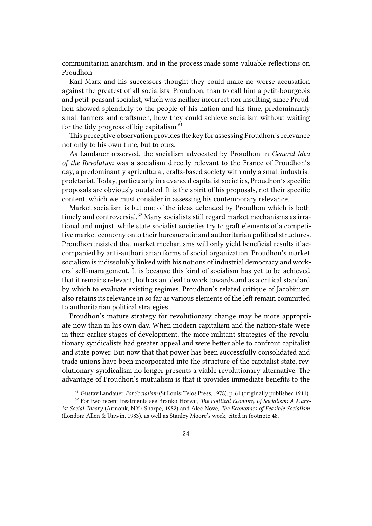communitarian anarchism, and in the process made some valuable reflections on Proudhon:

Karl Marx and his successors thought they could make no worse accusation against the greatest of all socialists, Proudhon, than to call him a petit-bourgeois and petit-peasant socialist, which was neither incorrect nor insulting, since Proudhon showed splendidly to the people of his nation and his time, predominantly small farmers and craftsmen, how they could achieve socialism without waiting for the tidy progress of big capitalism. $61$ 

This perceptive observation provides the key for assessing Proudhon's relevance not only to his own time, but to ours.

As Landauer observed, the socialism advocated by Proudhon in *General Idea of the Revolution* was a socialism directly relevant to the France of Proudhon's day, a predominantly agricultural, crafts-based society with only a small industrial proletariat. Today, particularly in advanced capitalist societies, Proudhon's specific proposals are obviously outdated. It is the spirit of his proposals, not their specific content, which we must consider in assessing his contemporary relevance.

Market socialism is but one of the ideas defended by Proudhon which is both timely and controversial.<sup>62</sup> Many socialists still regard market mechanisms as irrational and unjust, while state socialist societies try to graft elements of a competitive market economy onto their bureaucratic and authoritarian political structures. Proudhon insisted that market mechanisms will only yield beneficial results if accompanied by anti-authoritarian forms of social organization. Proudhon's market socialism is indissolubly linked with his notions of industrial democracy and workers' self-management. It is because this kind of socialism has yet to be achieved that it remains relevant, both as an ideal to work towards and as a critical standard by which to evaluate existing regimes. Proudhon's related critique of Jacobinism also retains its relevance in so far as various elements of the left remain committed to authoritarian political strategies.

Proudhon's mature strategy for revolutionary change may be more appropriate now than in his own day. When modern capitalism and the nation-state were in their earlier stages of development, the more militant strategies of the revolutionary syndicalists had greater appeal and were better able to confront capitalist and state power. But now that that power has been successfully consolidated and trade unions have been incorporated into the structure of the capitalist state, revolutionary syndicalism no longer presents a viable revolutionary alternative. The advantage of Proudhon's mutualism is that it provides immediate benefits to the

<sup>61</sup> Gustav Landauer, *For Socialism* (St Louis: Telos Press, 1978), p. 61 (originally published 1911).

<sup>62</sup> For two recent treatments see Branko Horvat, *The Political Economy of Socialism: A Marxist Social Theory* (Armonk, N.Y.: Sharpe, 1982) and Alec Nove, *The Economics of Feasible Socialism* (London: Allen & Unwin, 1983), as well as Stanley Moore's work, cited in footnote 48.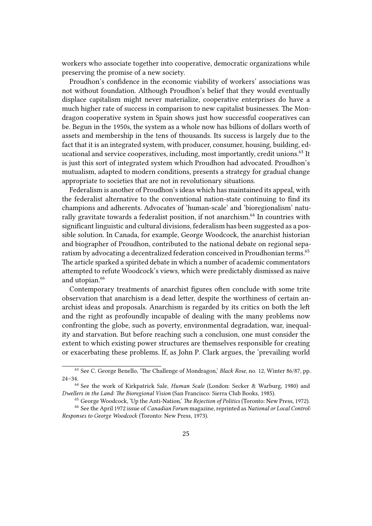workers who associate together into cooperative, democratic organizations while preserving the promise of a new society.

Proudhon's confidence in the economic viability of workers' associations was not without foundation. Although Proudhon's belief that they would eventually displace capitalism might never materialize, cooperative enterprises do have a much higher rate of success in comparison to new capitalist businesses. The Mondragon cooperative system in Spain shows just how successful cooperatives can be. Begun in the 1950s, the system as a whole now has billions of dollars worth of assets and membership in the tens of thousands. Its success is largely due to the fact that it is an integrated system, with producer, consumer, housing, building, educational and service cooperatives, including, most importantly, credit unions.<sup>63</sup> It is just this sort of integrated system which Proudhon had advocated. Proudhon's mutualism, adapted to modern conditions, presents a strategy for gradual change appropriate to societies that are not in revolutionary situations.

Federalism is another of Proudhon's ideas which has maintained its appeal, with the federalist alternative to the conventional nation-state continuing to find its champions and adherents. Advocates of 'human-scale' and 'bioregionalism' naturally gravitate towards a federalist position, if not anarchism.<sup>64</sup> In countries with significant linguistic and cultural divisions, federalism has been suggested as a possible solution. In Canada, for example, George Woodcock, the anarchist historian and biographer of Proudhon, contributed to the national debate on regional separatism by advocating a decentralized federation conceived in Proudhonian terms.<sup>65</sup> The article sparked a spirited debate in which a number of academic commentators attempted to refute Woodcock's views, which were predictably dismissed as naive and utopian.<sup>66</sup>

Contemporary treatments of anarchist figures often conclude with some trite observation that anarchism is a dead letter, despite the worthiness of certain anarchist ideas and proposals. Anarchism is regarded by its critics on both the left and the right as profoundly incapable of dealing with the many problems now confronting the globe, such as poverty, environmental degradation, war, inequality and starvation. But before reaching such a conclusion, one must consider the extent to which existing power structures are themselves responsible for creating or exacerbating these problems. If, as John P. Clark argues, the 'prevailing world

<sup>63</sup> See C. George Benello, 'The Challenge of Mondragon,' *Black Rose*, no. 12, Winter 86/87, pp. 24–34.

<sup>64</sup> See the work of Kirkpatrick Sale, *Human Scale* (London: Secker & Warburg, 1980) and *Dwellers in the Land: The Bioregional Vision* (San Francisco: Sierra Club Books, 1985).

<sup>65</sup> George Woodcock, 'Up the Anti-Nation,' *The Rejection of Politics* (Toronto: New Press, 1972).

<sup>66</sup> See the April 1972 issue of *Canadian Forum* magazine, reprinted as *National or Local Control: Responses to George Woodcock* (Toronto: New Press, 1973).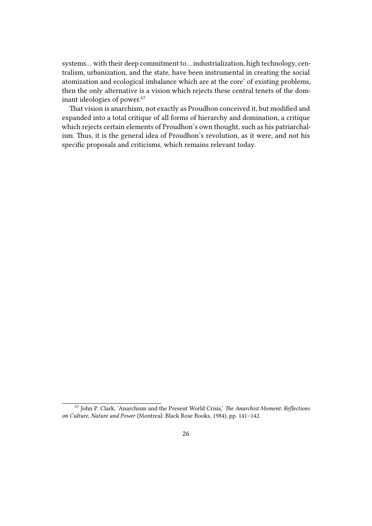systems… with their deep commitment to… industrialization, high technology, centralism, urbanization, and the state, have been instrumental in creating the social atomization and ecological imbalance which are at the core' of existing problems, then the only alternative is a vision which rejects these central tenets of the dominant ideologies of power.<sup>67</sup>

That vision is anarchism, not exactly as Proudhon conceived it, but modified and expanded into a total critique of all forms of hierarchy and domination, a critique which rejects certain elements of Proudhon's own thought, such as his patriarchalism. Thus, it is the general idea of Proudhon's revolution, as it were, and not his specific proposals and criticisms, which remains relevant today.

<sup>67</sup> John P. Clark, 'Anarchism and the Present World Crisis,' *The Anarchist Moment: Reflections on Culture, Nature and Power* (Montreal: Black Rose Books, 1984), pp. 141–142.